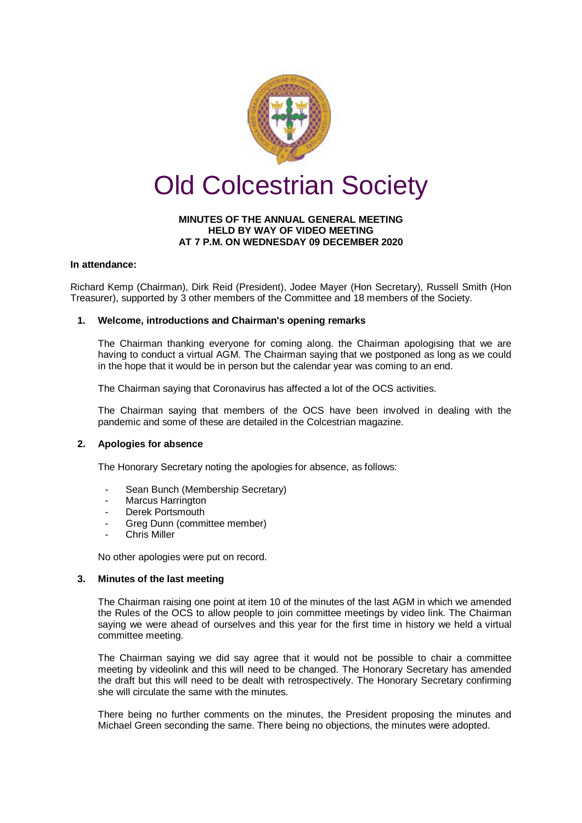

# **MINUTES OF THE ANNUAL GENERAL MEETING HELD BY WAY OF VIDEO MEETING AT 7 P.M. ON WEDNESDAY 09 DECEMBER 2020**

# **In attendance:**

Richard Kemp (Chairman), Dirk Reid (President), Jodee Mayer (Hon Secretary), Russell Smith (Hon Treasurer), supported by 3 other members of the Committee and 18 members of the Society.

# **1. Welcome, introductions and Chairman's opening remarks**

The Chairman thanking everyone for coming along. the Chairman apologising that we are having to conduct a virtual AGM. The Chairman saying that we postponed as long as we could in the hope that it would be in person but the calendar year was coming to an end.

The Chairman saying that Coronavirus has affected a lot of the OCS activities.

The Chairman saying that members of the OCS have been involved in dealing with the pandemic and some of these are detailed in the Colcestrian magazine.

## **2. Apologies for absence**

The Honorary Secretary noting the apologies for absence, as follows:

- Sean Bunch (Membership Secretary)
- Marcus Harrington
- Derek Portsmouth
- Greg Dunn (committee member)
- Chris Miller

No other apologies were put on record.

## **3. Minutes of the last meeting**

The Chairman raising one point at item 10 of the minutes of the last AGM in which we amended the Rules of the OCS to allow people to join committee meetings by video link. The Chairman saying we were ahead of ourselves and this year for the first time in history we held a virtual committee meeting.

The Chairman saying we did say agree that it would not be possible to chair a committee meeting by videolink and this will need to be changed. The Honorary Secretary has amended the draft but this will need to be dealt with retrospectively. The Honorary Secretary confirming she will circulate the same with the minutes.

There being no further comments on the minutes, the President proposing the minutes and Michael Green seconding the same. There being no objections, the minutes were adopted.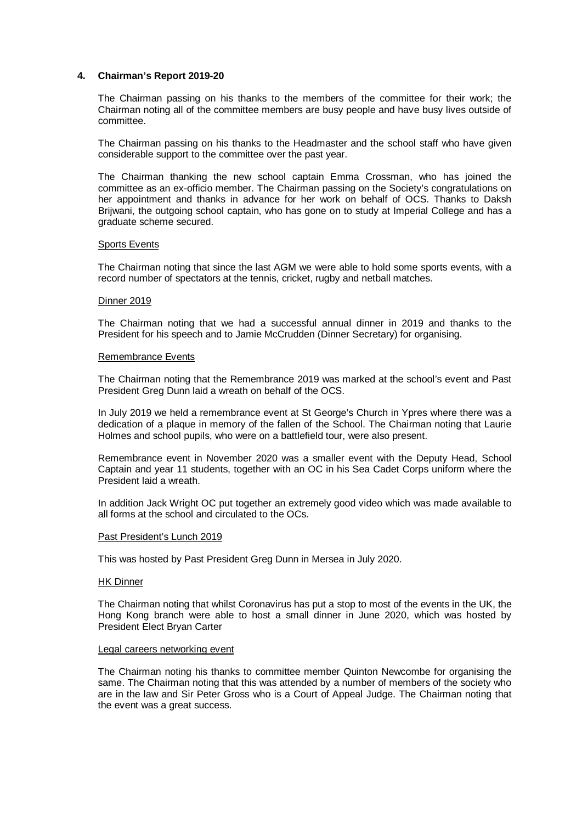## **4. Chairman's Report 2019-20**

The Chairman passing on his thanks to the members of the committee for their work; the Chairman noting all of the committee members are busy people and have busy lives outside of committee.

The Chairman passing on his thanks to the Headmaster and the school staff who have given considerable support to the committee over the past year.

The Chairman thanking the new school captain Emma Crossman, who has joined the committee as an ex-officio member. The Chairman passing on the Society's congratulations on her appointment and thanks in advance for her work on behalf of OCS. Thanks to Daksh Brijwani, the outgoing school captain, who has gone on to study at Imperial College and has a graduate scheme secured.

## Sports Events

The Chairman noting that since the last AGM we were able to hold some sports events, with a record number of spectators at the tennis, cricket, rugby and netball matches.

### Dinner 2019

The Chairman noting that we had a successful annual dinner in 2019 and thanks to the President for his speech and to Jamie McCrudden (Dinner Secretary) for organising.

### Remembrance Events

The Chairman noting that the Remembrance 2019 was marked at the school's event and Past President Greg Dunn laid a wreath on behalf of the OCS.

In July 2019 we held a remembrance event at St George's Church in Ypres where there was a dedication of a plaque in memory of the fallen of the School. The Chairman noting that Laurie Holmes and school pupils, who were on a battlefield tour, were also present.

Remembrance event in November 2020 was a smaller event with the Deputy Head, School Captain and year 11 students, together with an OC in his Sea Cadet Corps uniform where the President laid a wreath.

In addition Jack Wright OC put together an extremely good video which was made available to all forms at the school and circulated to the OCs.

### Past President's Lunch 2019

This was hosted by Past President Greg Dunn in Mersea in July 2020.

### HK Dinner

The Chairman noting that whilst Coronavirus has put a stop to most of the events in the UK, the Hong Kong branch were able to host a small dinner in June 2020, which was hosted by President Elect Bryan Carter

### Legal careers networking event

The Chairman noting his thanks to committee member Quinton Newcombe for organising the same. The Chairman noting that this was attended by a number of members of the society who are in the law and Sir Peter Gross who is a Court of Appeal Judge. The Chairman noting that the event was a great success.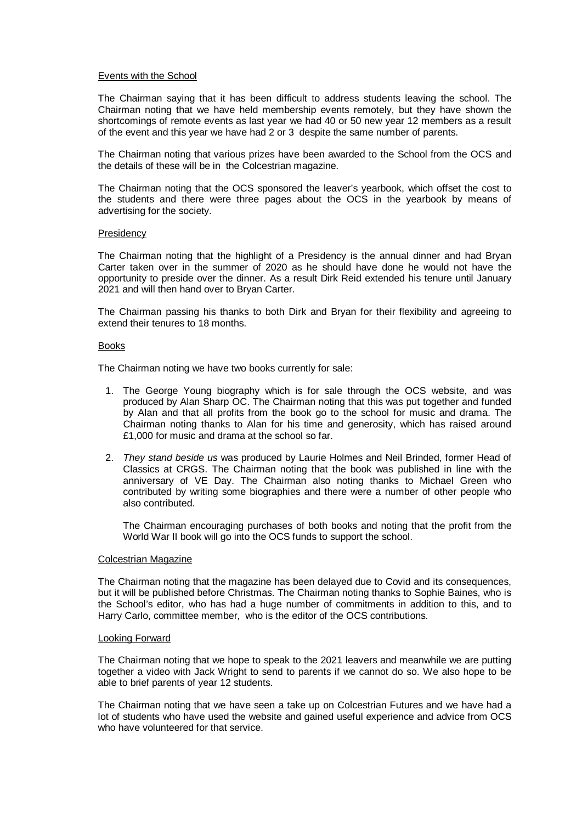## Events with the School

The Chairman saying that it has been difficult to address students leaving the school. The Chairman noting that we have held membership events remotely, but they have shown the shortcomings of remote events as last year we had 40 or 50 new year 12 members as a result of the event and this year we have had 2 or 3 despite the same number of parents.

The Chairman noting that various prizes have been awarded to the School from the OCS and the details of these will be in the Colcestrian magazine.

The Chairman noting that the OCS sponsored the leaver's yearbook, which offset the cost to the students and there were three pages about the OCS in the yearbook by means of advertising for the society.

### **Presidency**

The Chairman noting that the highlight of a Presidency is the annual dinner and had Bryan Carter taken over in the summer of 2020 as he should have done he would not have the opportunity to preside over the dinner. As a result Dirk Reid extended his tenure until January 2021 and will then hand over to Bryan Carter.

The Chairman passing his thanks to both Dirk and Bryan for their flexibility and agreeing to extend their tenures to 18 months.

### Books

The Chairman noting we have two books currently for sale:

- 1. The George Young biography which is for sale through the OCS website, and was produced by Alan Sharp OC. The Chairman noting that this was put together and funded by Alan and that all profits from the book go to the school for music and drama. The Chairman noting thanks to Alan for his time and generosity, which has raised around £1,000 for music and drama at the school so far.
- 2. *They stand beside us* was produced by Laurie Holmes and Neil Brinded, former Head of Classics at CRGS. The Chairman noting that the book was published in line with the anniversary of VE Day. The Chairman also noting thanks to Michael Green who contributed by writing some biographies and there were a number of other people who also contributed.

The Chairman encouraging purchases of both books and noting that the profit from the World War II book will go into the OCS funds to support the school.

### Colcestrian Magazine

The Chairman noting that the magazine has been delayed due to Covid and its consequences, but it will be published before Christmas. The Chairman noting thanks to Sophie Baines, who is the School's editor, who has had a huge number of commitments in addition to this, and to Harry Carlo, committee member, who is the editor of the OCS contributions.

### Looking Forward

The Chairman noting that we hope to speak to the 2021 leavers and meanwhile we are putting together a video with Jack Wright to send to parents if we cannot do so. We also hope to be able to brief parents of year 12 students.

The Chairman noting that we have seen a take up on Colcestrian Futures and we have had a lot of students who have used the website and gained useful experience and advice from OCS who have volunteered for that service.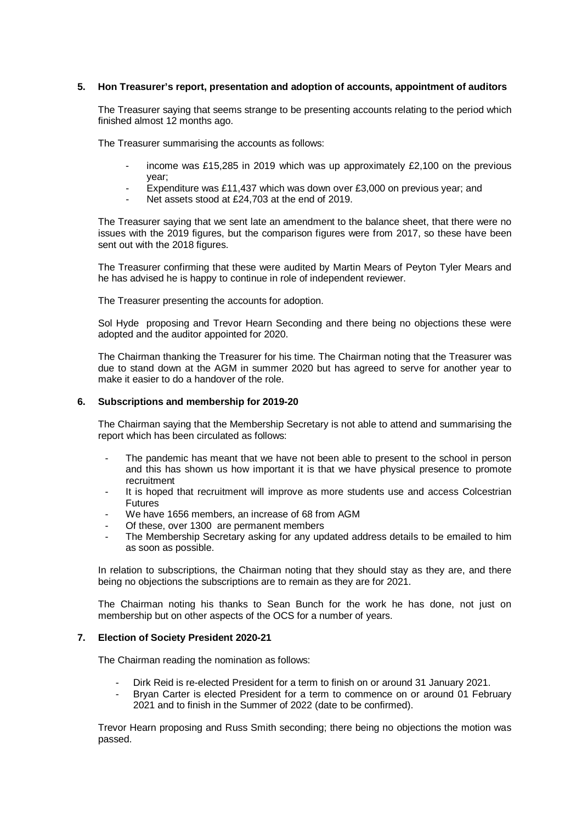## **5. Hon Treasurer's report, presentation and adoption of accounts, appointment of auditors**

The Treasurer saying that seems strange to be presenting accounts relating to the period which finished almost 12 months ago.

The Treasurer summarising the accounts as follows:

- income was £15,285 in 2019 which was up approximately £2,100 on the previous year;
- Expenditure was £11,437 which was down over £3,000 on previous year; and
- Net assets stood at £24,703 at the end of 2019.

The Treasurer saying that we sent late an amendment to the balance sheet, that there were no issues with the 2019 figures, but the comparison figures were from 2017, so these have been sent out with the 2018 figures.

The Treasurer confirming that these were audited by Martin Mears of Peyton Tyler Mears and he has advised he is happy to continue in role of independent reviewer.

The Treasurer presenting the accounts for adoption.

Sol Hyde proposing and Trevor Hearn Seconding and there being no objections these were adopted and the auditor appointed for 2020.

The Chairman thanking the Treasurer for his time. The Chairman noting that the Treasurer was due to stand down at the AGM in summer 2020 but has agreed to serve for another year to make it easier to do a handover of the role.

# **6. Subscriptions and membership for 2019-20**

The Chairman saying that the Membership Secretary is not able to attend and summarising the report which has been circulated as follows:

- The pandemic has meant that we have not been able to present to the school in person and this has shown us how important it is that we have physical presence to promote recruitment
- It is hoped that recruitment will improve as more students use and access Colcestrian **Futures**
- We have 1656 members, an increase of 68 from AGM
- Of these, over 1300 are permanent members
- The Membership Secretary asking for any updated address details to be emailed to him as soon as possible.

In relation to subscriptions, the Chairman noting that they should stay as they are, and there being no objections the subscriptions are to remain as they are for 2021.

The Chairman noting his thanks to Sean Bunch for the work he has done, not just on membership but on other aspects of the OCS for a number of years.

## **7. Election of Society President 2020-21**

The Chairman reading the nomination as follows:

- Dirk Reid is re-elected President for a term to finish on or around 31 January 2021.
- Bryan Carter is elected President for a term to commence on or around 01 February 2021 and to finish in the Summer of 2022 (date to be confirmed).

Trevor Hearn proposing and Russ Smith seconding; there being no objections the motion was passed.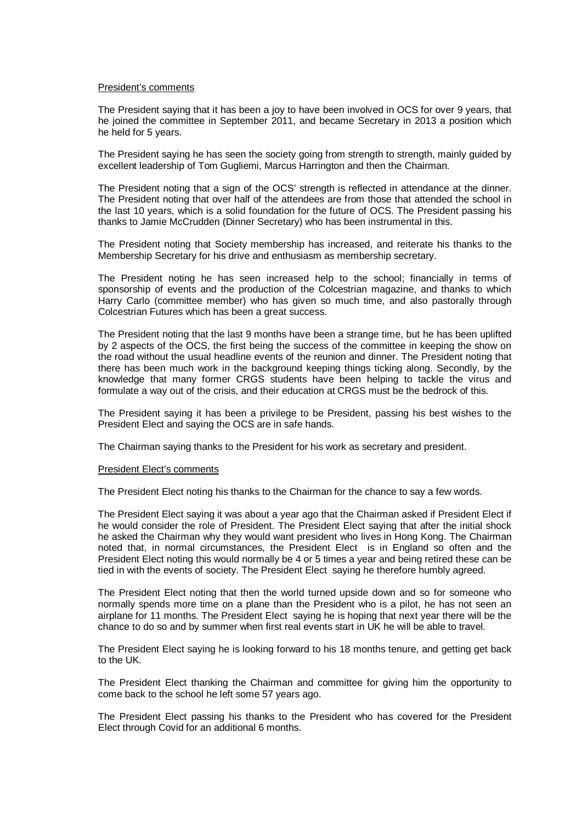### President's comments

The President saying that it has been a joy to have been involved in OCS for over 9 years, that he joined the committee in September 2011, and became Secretary in 2013 a position which he held for 5 years.

The President saying he has seen the society going from strength to strength, mainly guided by excellent leadership of Tom Gugliemi, Marcus Harrington and then the Chairman.

The President noting that a sign of the OCS' strength is reflected in attendance at the dinner. The President noting that over half of the attendees are from those that attended the school in the last 10 years, which is a solid foundation for the future of OCS. The President passing his thanks to Jamie McCrudden (Dinner Secretary) who has been instrumental in this.

The President noting that Society membership has increased, and reiterate his thanks to the Membership Secretary for his drive and enthusiasm as membership secretary.

The President noting he has seen increased help to the school; financially in terms of sponsorship of events and the production of the Colcestrian magazine, and thanks to which Harry Carlo (committee member) who has given so much time, and also pastorally through Colcestrian Futures which has been a great success.

The President noting that the last 9 months have been a strange time, but he has been uplifted by 2 aspects of the OCS, the first being the success of the committee in keeping the show on the road without the usual headline events of the reunion and dinner. The President noting that there has been much work in the background keeping things ticking along. Secondly, by the knowledge that many former CRGS students have been helping to tackle the virus and formulate a way out of the crisis, and their education at CRGS must be the bedrock of this.

The President saying it has been a privilege to be President, passing his best wishes to the President Elect and saying the OCS are in safe hands.

The Chairman saying thanks to the President for his work as secretary and president.

## President Elect's comments

The President Elect noting his thanks to the Chairman for the chance to say a few words.

The President Elect saying it was about a year ago that the Chairman asked if President Elect if he would consider the role of President. The President Elect saying that after the initial shock he asked the Chairman why they would want president who lives in Hong Kong. The Chairman noted that, in normal circumstances, the President Elect is in England so often and the President Elect noting this would normally be 4 or 5 times a year and being retired these can be tied in with the events of society. The President Elect saying he therefore humbly agreed.

The President Elect noting that then the world turned upside down and so for someone who normally spends more time on a plane than the President who is a pilot, he has not seen an airplane for 11 months. The President Elect saying he is hoping that next year there will be the chance to do so and by summer when first real events start in UK he will be able to travel.

The President Elect saying he is looking forward to his 18 months tenure, and getting get back to the UK.

The President Elect thanking the Chairman and committee for giving him the opportunity to come back to the school he left some 57 years ago.

The President Elect passing his thanks to the President who has covered for the President Elect through Covid for an additional 6 months.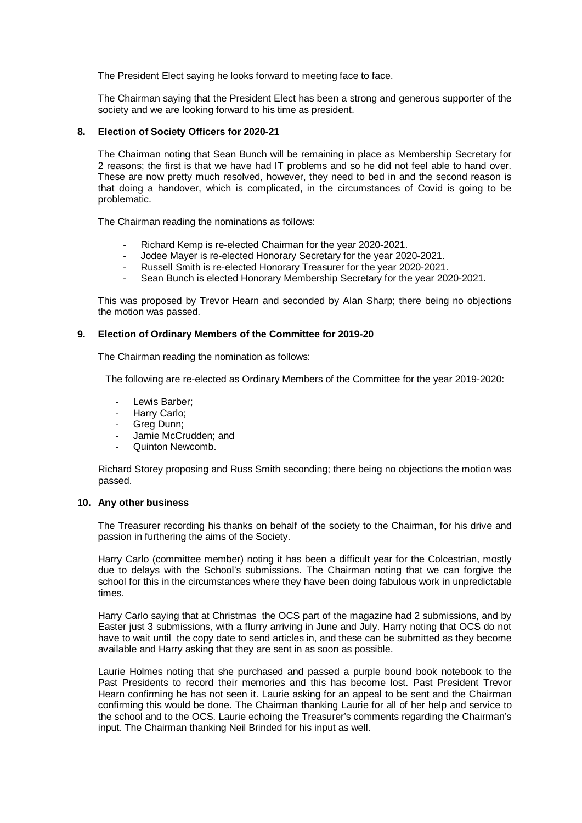The President Elect saying he looks forward to meeting face to face.

The Chairman saying that the President Elect has been a strong and generous supporter of the society and we are looking forward to his time as president.

# **8. Election of Society Officers for 2020-21**

The Chairman noting that Sean Bunch will be remaining in place as Membership Secretary for 2 reasons; the first is that we have had IT problems and so he did not feel able to hand over. These are now pretty much resolved, however, they need to bed in and the second reason is that doing a handover, which is complicated, in the circumstances of Covid is going to be problematic.

The Chairman reading the nominations as follows:

- Richard Kemp is re-elected Chairman for the year 2020-2021.
- Jodee Mayer is re-elected Honorary Secretary for the year 2020-2021.
- Russell Smith is re-elected Honorary Treasurer for the year 2020-2021.
- Sean Bunch is elected Honorary Membership Secretary for the year 2020-2021.

This was proposed by Trevor Hearn and seconded by Alan Sharp; there being no objections the motion was passed.

## **9. Election of Ordinary Members of the Committee for 2019-20**

The Chairman reading the nomination as follows:

The following are re-elected as Ordinary Members of the Committee for the year 2019-2020:

- Lewis Barber;
- Harry Carlo;
- Greg Dunn;
- Jamie McCrudden; and
- Quinton Newcomb.

Richard Storey proposing and Russ Smith seconding; there being no objections the motion was passed.

## **10. Any other business**

The Treasurer recording his thanks on behalf of the society to the Chairman, for his drive and passion in furthering the aims of the Society.

Harry Carlo (committee member) noting it has been a difficult year for the Colcestrian, mostly due to delays with the School's submissions. The Chairman noting that we can forgive the school for this in the circumstances where they have been doing fabulous work in unpredictable times.

Harry Carlo saying that at Christmas the OCS part of the magazine had 2 submissions, and by Easter just 3 submissions, with a flurry arriving in June and July. Harry noting that OCS do not have to wait until the copy date to send articles in, and these can be submitted as they become available and Harry asking that they are sent in as soon as possible.

Laurie Holmes noting that she purchased and passed a purple bound book notebook to the Past Presidents to record their memories and this has become lost. Past President Trevor Hearn confirming he has not seen it. Laurie asking for an appeal to be sent and the Chairman confirming this would be done. The Chairman thanking Laurie for all of her help and service to the school and to the OCS. Laurie echoing the Treasurer's comments regarding the Chairman's input. The Chairman thanking Neil Brinded for his input as well.